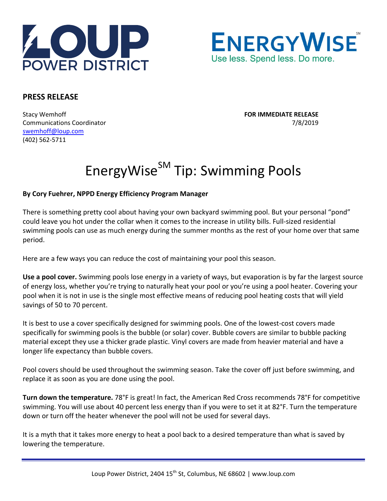



## **PRESS RELEASE**

Stacy Wemhoff **FOR IMMEDIATE RELEASE** Communications Coordinator 7/8/2019 [swemhoff@loup.com](mailto:swemhoff@loup.com)  (402) 562-5711

## EnergyWise<sup>SM</sup> Tip: Swimming Pools

## **By Cory Fuehrer, NPPD Energy Efficiency Program Manager**

There is something pretty cool about having your own backyard swimming pool. But your personal "pond" could leave you hot under the collar when it comes to the increase in utility bills. Full-sized residential swimming pools can use as much energy during the summer months as the rest of your home over that same period.

Here are a few ways you can reduce the cost of maintaining your pool this season.

**Use a pool cover.** Swimming pools lose energy in a variety of ways, but evaporation is by far the largest source of energy loss, whether you're trying to naturally heat your pool or you're using a pool heater. Covering your pool when it is not in use is the single most effective means of reducing pool heating costs that will yield savings of 50 to 70 percent.

It is best to use a cover specifically designed for swimming pools. One of the lowest-cost covers made specifically for swimming pools is the bubble (or solar) cover. Bubble covers are similar to bubble packing material except they use a thicker grade plastic. Vinyl covers are made from heavier material and have a longer life expectancy than bubble covers.

Pool covers should be used throughout the swimming season. Take the cover off just before swimming, and replace it as soon as you are done using the pool.

**Turn down the temperature.** 78°F is great! In fact, the American Red Cross recommends 78°F for competitive swimming. You will use about 40 percent less energy than if you were to set it at 82°F. Turn the temperature down or turn off the heater whenever the pool will not be used for several days.

It is a myth that it takes more energy to heat a pool back to a desired temperature than what is saved by lowering the temperature.